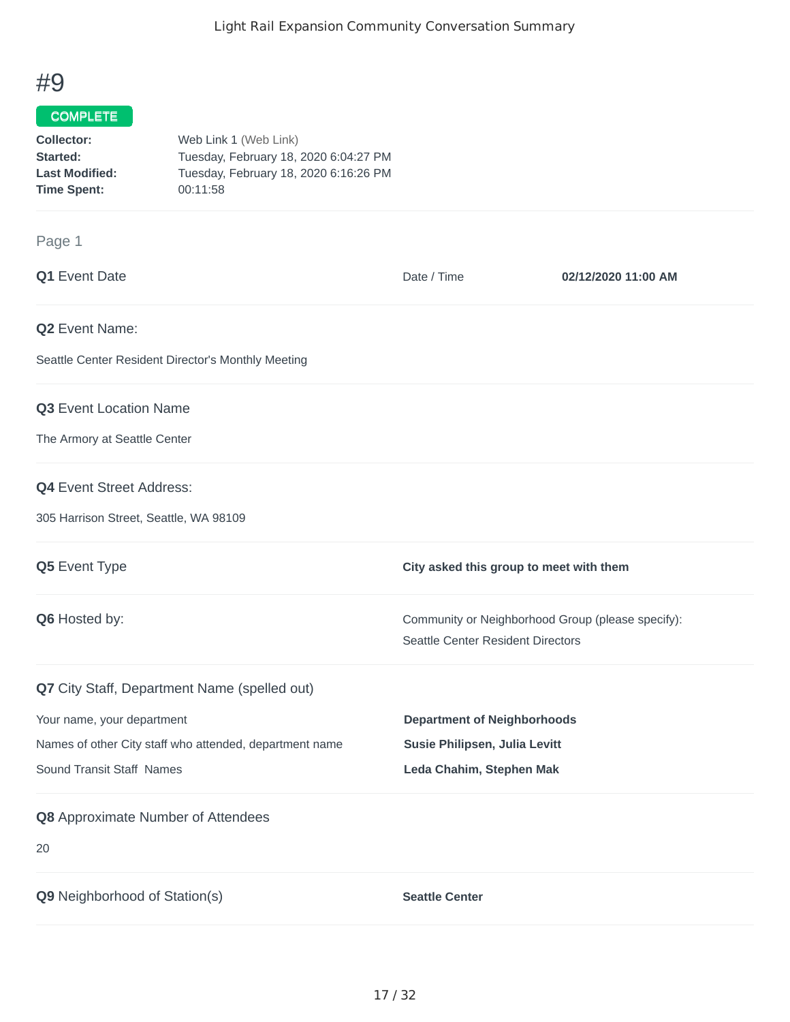## #9

## COMPLETE

| Collector:            | Web Link 1 (Web Link)                 |
|-----------------------|---------------------------------------|
| Started:              | Tuesday, February 18, 2020 6:04:27 PM |
| <b>Last Modified:</b> | Tuesday, February 18, 2020 6:16:26 PM |
| <b>Time Spent:</b>    | 00:11:58                              |

## Page 1

| Q1 Event Date                                           | Date / Time                                                                            | 02/12/2020 11:00 AM |
|---------------------------------------------------------|----------------------------------------------------------------------------------------|---------------------|
| Q2 Event Name:                                          |                                                                                        |                     |
| Seattle Center Resident Director's Monthly Meeting      |                                                                                        |                     |
| Q3 Event Location Name                                  |                                                                                        |                     |
| The Armory at Seattle Center                            |                                                                                        |                     |
| <b>Q4</b> Event Street Address:                         |                                                                                        |                     |
| 305 Harrison Street, Seattle, WA 98109                  |                                                                                        |                     |
| Q5 Event Type                                           | City asked this group to meet with them                                                |                     |
| Q6 Hosted by:                                           | Community or Neighborhood Group (please specify):<br>Seattle Center Resident Directors |                     |
| Q7 City Staff, Department Name (spelled out)            |                                                                                        |                     |
| Your name, your department                              | <b>Department of Neighborhoods</b>                                                     |                     |
| Names of other City staff who attended, department name | Susie Philipsen, Julia Levitt                                                          |                     |
| Sound Transit Staff Names                               | Leda Chahim, Stephen Mak                                                               |                     |
| Q8 Approximate Number of Attendees                      |                                                                                        |                     |
| 20                                                      |                                                                                        |                     |
| Q9 Neighborhood of Station(s)                           | <b>Seattle Center</b>                                                                  |                     |